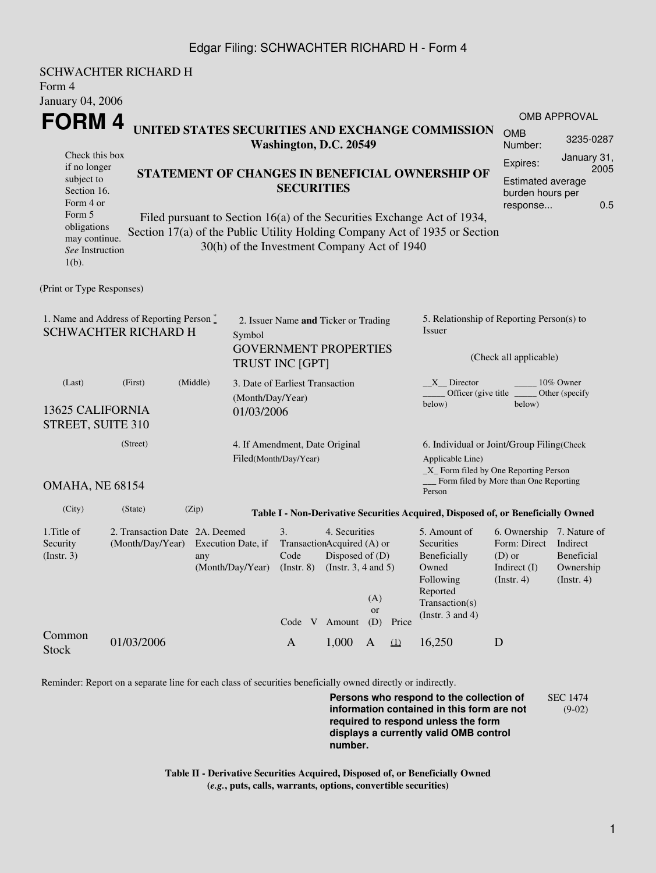## Edgar Filing: SCHWACHTER RICHARD H - Form 4

| Form 4<br><b>January 04, 2006</b>                                                          | <b>SCHWACHTER RICHARD H</b>                                                  |                                                                                                                                                                                                                                                                              |                                                    |                                                                   |                                                                                          |                  |          |                                                                                                       |                                                                                                    |                                              |  |  |
|--------------------------------------------------------------------------------------------|------------------------------------------------------------------------------|------------------------------------------------------------------------------------------------------------------------------------------------------------------------------------------------------------------------------------------------------------------------------|----------------------------------------------------|-------------------------------------------------------------------|------------------------------------------------------------------------------------------|------------------|----------|-------------------------------------------------------------------------------------------------------|----------------------------------------------------------------------------------------------------|----------------------------------------------|--|--|
| FORM 4                                                                                     |                                                                              |                                                                                                                                                                                                                                                                              |                                                    |                                                                   |                                                                                          |                  |          |                                                                                                       | OMB APPROVAL                                                                                       |                                              |  |  |
|                                                                                            |                                                                              | UNITED STATES SECURITIES AND EXCHANGE COMMISSION<br>Washington, D.C. 20549                                                                                                                                                                                                   |                                                    |                                                                   |                                                                                          |                  |          | <b>OMB</b><br>Number:                                                                                 | 3235-0287                                                                                          |                                              |  |  |
| Check this box<br>if no longer                                                             |                                                                              |                                                                                                                                                                                                                                                                              |                                                    |                                                                   |                                                                                          |                  |          | Expires:                                                                                              | January 31,<br>2005                                                                                |                                              |  |  |
| subject to<br>Section 16.                                                                  |                                                                              | STATEMENT OF CHANGES IN BENEFICIAL OWNERSHIP OF<br><b>SECURITIES</b><br>Filed pursuant to Section 16(a) of the Securities Exchange Act of 1934,<br>Section 17(a) of the Public Utility Holding Company Act of 1935 or Section<br>30(h) of the Investment Company Act of 1940 |                                                    |                                                                   |                                                                                          |                  |          |                                                                                                       |                                                                                                    | <b>Estimated average</b><br>burden hours per |  |  |
| Form 4 or<br>Form 5<br>obligations<br>may continue.<br>See Instruction<br>$1(b)$ .         |                                                                              |                                                                                                                                                                                                                                                                              |                                                    |                                                                   |                                                                                          |                  |          |                                                                                                       |                                                                                                    | 0.5<br>response                              |  |  |
| (Print or Type Responses)                                                                  |                                                                              |                                                                                                                                                                                                                                                                              |                                                    |                                                                   |                                                                                          |                  |          |                                                                                                       |                                                                                                    |                                              |  |  |
| 1. Name and Address of Reporting Person $\degree$<br><b>SCHWACHTER RICHARD H</b><br>Symbol |                                                                              |                                                                                                                                                                                                                                                                              |                                                    | 2. Issuer Name and Ticker or Trading                              |                                                                                          |                  |          | 5. Relationship of Reporting Person(s) to<br>Issuer                                                   |                                                                                                    |                                              |  |  |
|                                                                                            |                                                                              |                                                                                                                                                                                                                                                                              |                                                    | <b>GOVERNMENT PROPERTIES</b><br><b>TRUST INC [GPT]</b>            |                                                                                          |                  |          | (Check all applicable)                                                                                |                                                                                                    |                                              |  |  |
| (Middle)<br>(First)<br>(Last)<br><b>13625 CALIFORNIA</b>                                   |                                                                              |                                                                                                                                                                                                                                                                              |                                                    | 3. Date of Earliest Transaction<br>(Month/Day/Year)<br>01/03/2006 |                                                                                          |                  |          | 10% Owner<br>$X$ Director<br>Officer (give title _______ Other (specify<br>below)<br>below)           |                                                                                                    |                                              |  |  |
| STREET, SUITE 310                                                                          |                                                                              |                                                                                                                                                                                                                                                                              |                                                    |                                                                   |                                                                                          |                  |          |                                                                                                       |                                                                                                    |                                              |  |  |
| (Street)<br>OMAHA, NE 68154                                                                |                                                                              |                                                                                                                                                                                                                                                                              |                                                    | 4. If Amendment, Date Original<br>Filed(Month/Day/Year)           |                                                                                          |                  |          | 6. Individual or Joint/Group Filing(Check                                                             |                                                                                                    |                                              |  |  |
|                                                                                            |                                                                              |                                                                                                                                                                                                                                                                              |                                                    |                                                                   |                                                                                          |                  |          | Applicable Line)                                                                                      | _X_ Form filed by One Reporting Person<br>Form filed by More than One Reporting                    |                                              |  |  |
|                                                                                            |                                                                              |                                                                                                                                                                                                                                                                              |                                                    |                                                                   |                                                                                          |                  |          | Person                                                                                                |                                                                                                    |                                              |  |  |
| (City)                                                                                     | (State)                                                                      | (Zip)                                                                                                                                                                                                                                                                        |                                                    |                                                                   |                                                                                          |                  |          | Table I - Non-Derivative Securities Acquired, Disposed of, or Beneficially Owned                      |                                                                                                    |                                              |  |  |
| 1. Title of<br>Security<br>$($ Instr. 3 $)$                                                | 2. Transaction Date 2A, Deemed<br>(Month/Day/Year) Execution Date, if<br>any |                                                                                                                                                                                                                                                                              | 3.<br>Code<br>(Month/Day/Year)<br>$($ Instr. 8 $)$ |                                                                   | 4. Securities<br>TransactionAcquired (A) or<br>Disposed of $(D)$<br>(Insert. 3, 4 and 5) | (A)              |          | 5. Amount of<br><b>Securities</b><br>Beneficially<br>Owned<br>Following<br>Reported<br>Transaction(s) | 6. Ownership 7. Nature of<br>Form: Direct Indirect<br>$(D)$ or<br>Indirect (I)<br>$($ Instr. 4 $)$ | Beneficial<br>Ownership<br>$($ Instr. 4 $)$  |  |  |
|                                                                                            |                                                                              |                                                                                                                                                                                                                                                                              |                                                    | Code V Amount                                                     |                                                                                          | <b>or</b><br>(D) | Price    | (Instr. $3$ and $4$ )                                                                                 |                                                                                                    |                                              |  |  |
| Common<br><b>Stock</b>                                                                     | 01/03/2006                                                                   |                                                                                                                                                                                                                                                                              |                                                    | $\mathbf{A}$                                                      | 1,000                                                                                    | $\mathbf{A}$     | $\Omega$ | 16,250                                                                                                | D                                                                                                  |                                              |  |  |
|                                                                                            |                                                                              |                                                                                                                                                                                                                                                                              |                                                    |                                                                   |                                                                                          |                  |          |                                                                                                       |                                                                                                    |                                              |  |  |

Reminder: Report on a separate line for each class of securities beneficially owned directly or indirectly.

**Persons who respond to the collection of information contained in this form are not required to respond unless the form displays a currently valid OMB control number.** SEC 1474 (9-02)

**Table II - Derivative Securities Acquired, Disposed of, or Beneficially Owned (***e.g.***, puts, calls, warrants, options, convertible securities)**